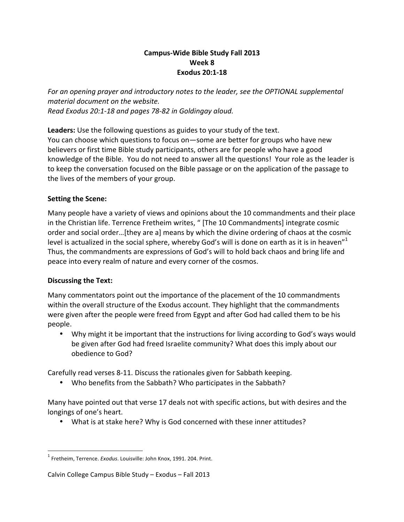### **Campus-Wide Bible Study Fall 2013 Week 8 Exodus 20:1-18**

For an opening prayer and introductory notes to the leader, see the OPTIONAL supplemental *material document on the website. Read Exodus 20:1-18 and pages 78-82 in Goldingay aloud.*

**Leaders:** Use the following questions as guides to your study of the text. You can choose which questions to focus on—some are better for groups who have new believers or first time Bible study participants, others are for people who have a good knowledge of the Bible. You do not need to answer all the questions! Your role as the leader is to keep the conversation focused on the Bible passage or on the application of the passage to the lives of the members of your group.

### **Setting the Scene:**

Many people have a variety of views and opinions about the 10 commandments and their place in the Christian life. Terrence Fretheim writes, " [The 10 Commandments] integrate cosmic order and social order...[they are a] means by which the divine ordering of chaos at the cosmic level is actualized in the social sphere, whereby God's will is done on earth as it is in heaven" $^1$ Thus, the commandments are expressions of God's will to hold back chaos and bring life and peace into every realm of nature and every corner of the cosmos.

### **Discussing the Text:**

Many commentators point out the importance of the placement of the 10 commandments within the overall structure of the Exodus account. They highlight that the commandments were given after the people were freed from Egypt and after God had called them to be his people. 

• Why might it be important that the instructions for living according to God's ways would be given after God had freed Israelite community? What does this imply about our obedience to God?

Carefully read verses 8-11. Discuss the rationales given for Sabbath keeping.

• Who benefits from the Sabbath? Who participates in the Sabbath?

Many have pointed out that verse 17 deals not with specific actions, but with desires and the longings of one's heart.

• What is at stake here? Why is God concerned with these inner attitudes?

 

<sup>&</sup>lt;sup>1</sup> Fretheim, Terrence. *Exodus*. Louisville: John Knox, 1991. 204. Print.

Calvin College Campus Bible Study - Exodus - Fall 2013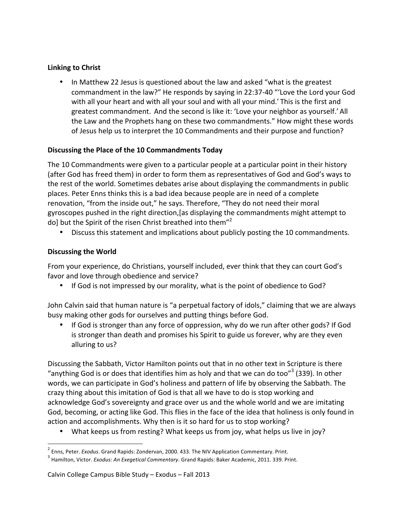## **Linking to Christ**

• In Matthew 22 Jesus is questioned about the law and asked "what is the greatest commandment in the law?" He responds by saying in 22:37-40 "'Love the Lord your God with all your heart and with all your soul and with all your mind.' This is the first and greatest commandment. And the second is like it: 'Love your neighbor as yourself.' All the Law and the Prophets hang on these two commandments." How might these words of Jesus help us to interpret the 10 Commandments and their purpose and function?

# **Discussing the Place of the 10 Commandments Today**

The 10 Commandments were given to a particular people at a particular point in their history (after God has freed them) in order to form them as representatives of God and God's ways to the rest of the world. Sometimes debates arise about displaying the commandments in public places. Peter Enns thinks this is a bad idea because people are in need of a complete renovation, "from the inside out," he says. Therefore, "They do not need their moral gyroscopes pushed in the right direction, [as displaying the commandments might attempt to do] but the Spirit of the risen Christ breathed into them"<sup>2</sup>

• Discuss this statement and implications about publicly posting the 10 commandments.

# **Discussing the World**

From your experience, do Christians, yourself included, ever think that they can court God's favor and love through obedience and service?

• If God is not impressed by our morality, what is the point of obedience to God?

John Calvin said that human nature is "a perpetual factory of idols," claiming that we are always busy making other gods for ourselves and putting things before God.

If God is stronger than any force of oppression, why do we run after other gods? If God is stronger than death and promises his Spirit to guide us forever, why are they even alluring to us?

Discussing the Sabbath, Victor Hamilton points out that in no other text in Scripture is there "anything God is or does that identifies him as holy and that we can do too"<sup>3</sup> (339). In other words, we can participate in God's holiness and pattern of life by observing the Sabbath. The crazy thing about this imitation of God is that all we have to do is stop working and acknowledge God's sovereignty and grace over us and the whole world and we are imitating God, becoming, or acting like God. This flies in the face of the idea that holiness is only found in action and accomplishments. Why then is it so hard for us to stop working?

• What keeps us from resting? What keeps us from joy, what helps us live in joy?

 

<sup>&</sup>lt;sup>2</sup> Enns, Peter. *Exodus*. Grand Rapids: Zondervan, 2000. 433. The NIV Application Commentary. Print.<br><sup>3</sup> Hamilton, Victor. *Exodus: An Exegetical Commentary*. Grand Rapids: Baker Academic, 2011. 339. Print.